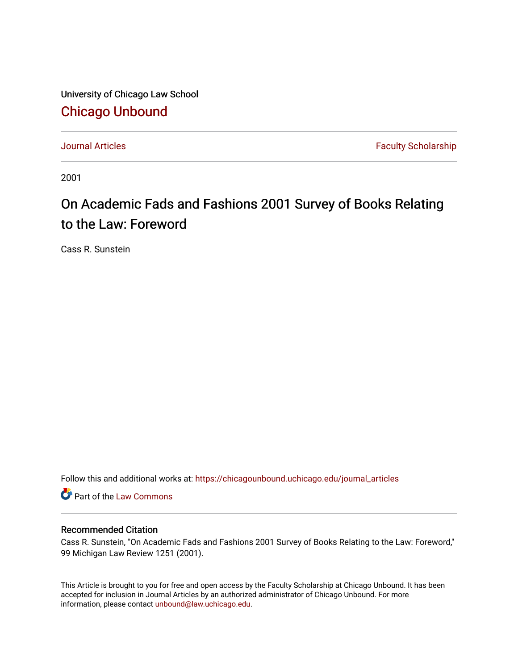University of Chicago Law School [Chicago Unbound](https://chicagounbound.uchicago.edu/)

[Journal Articles](https://chicagounbound.uchicago.edu/journal_articles) **Faculty Scholarship Journal Articles** 

2001

# On Academic Fads and Fashions 2001 Survey of Books Relating to the Law: Foreword

Cass R. Sunstein

Follow this and additional works at: [https://chicagounbound.uchicago.edu/journal\\_articles](https://chicagounbound.uchicago.edu/journal_articles?utm_source=chicagounbound.uchicago.edu%2Fjournal_articles%2F8478&utm_medium=PDF&utm_campaign=PDFCoverPages) 

Part of the [Law Commons](http://network.bepress.com/hgg/discipline/578?utm_source=chicagounbound.uchicago.edu%2Fjournal_articles%2F8478&utm_medium=PDF&utm_campaign=PDFCoverPages)

## Recommended Citation

Cass R. Sunstein, "On Academic Fads and Fashions 2001 Survey of Books Relating to the Law: Foreword," 99 Michigan Law Review 1251 (2001).

This Article is brought to you for free and open access by the Faculty Scholarship at Chicago Unbound. It has been accepted for inclusion in Journal Articles by an authorized administrator of Chicago Unbound. For more information, please contact [unbound@law.uchicago.edu](mailto:unbound@law.uchicago.edu).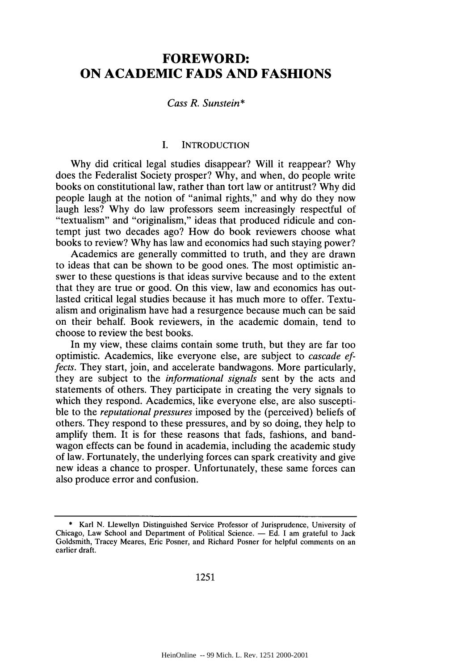# **FOREWORD: ON ACADEMIC FADS AND FASHIONS**

#### *Cass R. Sunstein\**

#### **I. INTRODUCTION**

**Why** did critical legal studies disappear? Will it reappear? **Why** does the Federalist Society prosper? **Why,** and when, do people write books on constitutional law, rather than tort law or antitrust? **Why** did people laugh at the notion of "animal rights," and why do they now laugh less? **Why** do law professors seem increasingly respectful of "textualism" and "originalism," ideas that produced ridicule and contempt just two decades ago? How do book reviewers choose what books to review? **Why** has law and economics had such staying power?

Academics are generally committed to truth, and they are drawn to ideas that can be shown to be good ones. The most optimistic answer to these questions is that ideas survive because and to the extent that they are true or good. On this view, law and economics has outlasted critical legal studies because it has much more to offer. Textualism and originalism have had a resurgence because much can be said on their behalf. Book reviewers, in the academic domain, tend to choose to review the best books.

In my view, these claims contain some truth, but they are far too optimistic. Academics, like everyone else, are subject to *cascade effects.* They start, join, and accelerate bandwagons. More particularly, they are subject to the *informational signals* sent by the acts and statements of others. They participate in creating the very signals to which they respond. Academics, like everyone else, are also susceptible to the *reputational pressures* imposed by the (perceived) beliefs of others. They respond to these pressures, and by so doing, they help to amplify them. It is for these reasons that fads, fashions, and bandwagon effects can be found in academia, including the academic study of law. Fortunately, the underlying forces can spark creativity and give new ideas a chance to prosper. Unfortunately, these same forces can also produce error and confusion.

1251

<sup>\*</sup> Karl N. Llewellyn Distinguished Service Professor of Jurisprudence, University of Chicago, Law School and Department of Political Science. - Ed. I am grateful to Jack Goldsmith, Tracey Meares, Eric Posner, and Richard Posner for helpful comments on an earlier draft.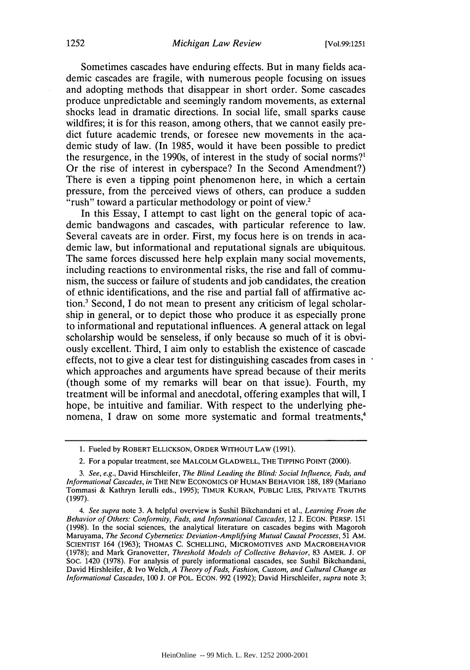Sometimes cascades have enduring effects. But in many fields academic cascades are fragile, with numerous people focusing on issues and adopting methods that disappear in short order. Some cascades produce unpredictable and seemingly random movements, as external shocks lead in dramatic directions. In social life, small sparks cause wildfires; it is for this reason, among others, that we cannot easily predict future academic trends, or foresee new movements in the academic study of law. (In 1985, would it have been possible to predict the resurgence, in the 1990s, of interest in the study of social norms?<sup>1</sup> Or the rise of interest in cyberspace? In the Second Amendment?) There is even a tipping point phenomenon here, in which a certain pressure, from the perceived views of others, can produce a sudden "rush" toward a particular methodology or point of view.<sup>2</sup>

In this Essay, I attempt to cast light on the general topic of academic bandwagons and cascades, with particular reference to law. Several caveats are in order. First, my focus here is on trends in academic law, but informational and reputational signals are ubiquitous. The same forces discussed here help explain many social movements, including reactions to environmental risks, the rise and fall of communism, the success or failure of students and job candidates, the creation of ethnic identifications, and the rise and partial fall of affirmative action.3 Second, I do not mean to present any criticism of legal scholarship in general, or to depict those who produce it as especially prone to informational and reputational influences. A general attack on legal scholarship would be senseless, if only because so much of it is obviously excellent. Third, I aim only to establish the existence of cascade effects, not to give a clear test for distinguishing cascades from cases in which approaches and arguments have spread because of their merits (though some of my remarks will bear on that issue). Fourth, my treatment will be informal and anecdotal, offering examples that will, I hope, be intuitive and familiar. With respect to the underlying phenomena, I draw on some more systematic and formal treatments,<sup>4</sup>

**<sup>1.</sup>** Fueled by ROBERT **ELLICKSON,** ORDER WITHOUT LAW (1991).

<sup>2.</sup> For a popular treatment, see MALCOLM GLADWELL, THE TIPPING **POINT** (2000).

*<sup>3.</sup> See, e.g.,* David Hirschleifer, *The Blind Leading* the Blind: *Social Influence, Fads, and Informational Cascades, in* THE NEW ECONOMICS OF HUMAN BEHAVIOR 188, 189 (Mariano Tommasi & Kathryn Ierulli eds., 1995); TIMUR KURAN, PUBLIC LIES, PRIVATE TRUTHS (1997).

*<sup>4.</sup> See supra* note 3. A helpful overview is Sushil Bikchandani et al., *Learning From the Behavior of Others: Conformity, Fads, and Informational Cascades,* 12 J. ECON. PERSP. 151 (1998). In the social sciences, the analytical literature on cascades begins with Magoroh Maruyama, *The Second Cybernetics: Deviation-Amplifying Mutual Causal Processes,* 51 AM. SCIENTIST 164 (1963); THOMAS C. SCHELLING, MICROMOTIVES AND MACROBEHAVIOR (1978); and Mark Granovetter, *Threshold Models of Collective Behavior,* 83 AMER. J. OF SOC. 1420 (1978). For analysis of purely informational cascades, see Sushil Bikchandani, David Hirshleifer, & Ivo Welch, *A Theory of Fads, Fashion, Custom, and Cultural Change as Informational Cascades,* 100 J. OF POL. ECON. 992 (1992); David Hirschleifer, *supra* note 3;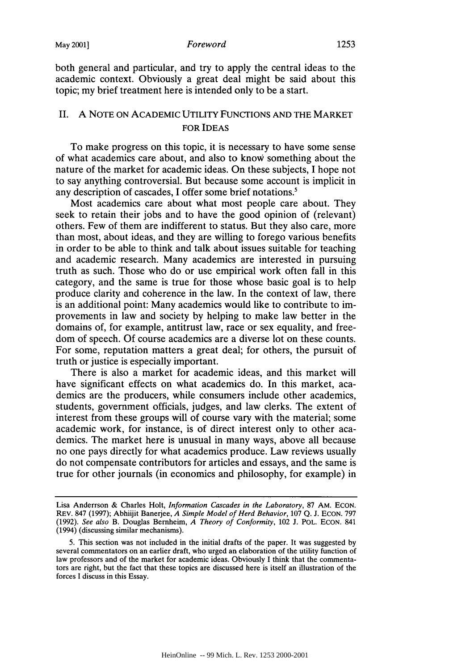#### *Foreword* May 20011 **1253**

## II. A NOTE ON ACADEMIC UTILITY FUNCTIONS AND THE MARKET FOR IDEAS

To make progress on this topic, it is necessary to have some sense of what academics care about, and also to know something about the nature of the market for academic ideas. On these subjects, I hope not to say anything controversial. But because some account is implicit in any description of cascades, I offer some brief notations.'

Most academics care about what most people care about. They seek to retain their jobs and to have the good opinion of (relevant) others. Few of them are indifferent to status. But they also care, more than most, about ideas, and they are willing to forego various benefits in order to be able to think and talk about issues suitable for teaching and academic research. Many academics are interested in pursuing truth as such. Those who do or use empirical work often fall in this category, and the same is true for those whose basic goal is to help produce clarity and coherence in the law. In the context of law, there is an additional point: Many academics would like to contribute to improvements in law and society by helping to make law better in the domains of, for example, antitrust law, race or sex equality, and freedom of speech. Of course academics are a diverse lot on these counts. For some, reputation matters a great deal; for others, the pursuit of truth or justice is especially important.

There is also a market for academic ideas, and this market will have significant effects on what academics do. In this market, academics are the producers, while consumers include other academics, students, government officials, judges, and law clerks. The extent of interest from these groups will of course vary with the material; some academic work, for instance, is of direct interest only to other academics. The market here is unusual in many ways, above all because no one pays directly for what academics produce. Law reviews usually do not compensate contributors for articles and essays, and the same is true for other journals (in economics and philosophy, for example) in

Lisa Anderrson & Charles Holt, *Information Cascades in the Laboratory,* 87 AM. ECON. REV. 847 (1997); Abhiijit Banerjee, *A Simple Model of Herd Behavior,* 107 Q. J. ECON. 797 (1992). *See also* B. Douglas Bernheim, *A Theory of Conformity,* 102 J. POL. ECON. 841 (1994) (discussing similar mechanisms).

<sup>5.</sup> This section was not included in the initial drafts of the paper. It was suggested by several commentators on an earlier draft, who urged an elaboration of the utility function of law professors and of the market for academic ideas. Obviously I think that the commentators are right, but the fact that these topics are discussed here is itself an illustration of the forces I discuss in this Essay.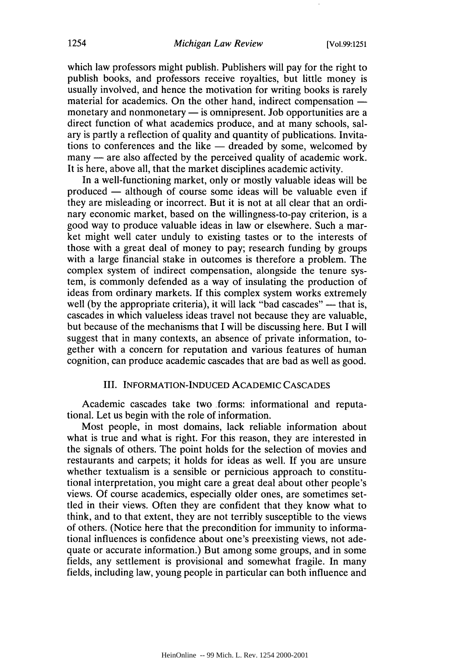which law professors might publish. Publishers will pay for the right to publish books, and professors receive royalties, but little money is usually involved, and hence the motivation for writing books is rarely material for academics. On the other hand, indirect compensation monetary and nonmonetary  $\frac{1}{\sqrt{2}}$  is omnipresent. Job opportunities are a direct function of what academics produce, and at many schools, salary is partly a reflection of quality and quantity of publications. Invitations to conferences and the like  $-$  dreaded by some, welcomed by many — are also affected by the perceived quality of academic work. It is here, above all, that the market disciplines academic activity.

In a well-functioning market, only or mostly valuable ideas will be produced — although of course some ideas will be valuable even if they are misleading or incorrect. But it is not at all clear that an ordinary economic market, based on the willingness-to-pay criterion, is a good way to produce valuable ideas in law or elsewhere. Such a market might well cater unduly to existing tastes or to the interests of those with a great deal of money to pay; research funding by groups with a large financial stake in outcomes is therefore a problem. The complex system of indirect compensation, alongside the tenure system, is commonly defended as a way of insulating the production of ideas from ordinary markets. **If** this complex system works extremely well (by the appropriate criteria), it will lack "bad cascades"  $-$  that is, cascades in which valueless ideas travel not because they are valuable, but because of the mechanisms that I will be discussing here. But I will suggest that in many contexts, an absence of private information, together with a concern for reputation and various features of human cognition, can produce academic cascades that are bad as well as good.

#### III. **INFORMATION-INDUCED ACADEMIC CASCADES**

Academic cascades take two forms: informational and reputational. Let us begin with the role of information.

Most people, in most domains, lack reliable information about what is true and what is right. For this reason, they are interested in the signals of others. The point holds for the selection of movies and restaurants and carpets; it holds for ideas as well. **If** you are unsure whether textualism is a sensible or pernicious approach to constitutional interpretation, you might care a great deal about other people's views. **Of** course academics, especially older ones, are sometimes settled in their views. Often they are confident that they know what to think, and to that extent, they are not terribly susceptible to the views of others. (Notice here that the precondition for immunity to informational influences is confidence about one's preexisting views, not adequate or accurate information.) But among some groups, and in some fields, any settlement is provisional and somewhat fragile. In many fields, including law, young people in particular can both influence and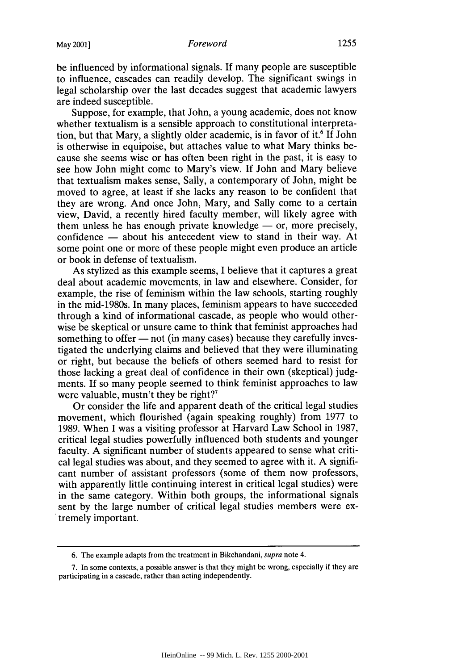be influenced by informational signals. If many people are susceptible to influence, cascades can readily develop. The significant swings in legal scholarship over the last decades suggest that academic lawyers are indeed susceptible.

Suppose, for example, that John, a young academic, does not know whether textualism is a sensible approach to constitutional interpretation, but that Mary, a slightly older academic, is in favor of it.<sup>6</sup> If John is otherwise in equipoise, but attaches value to what Mary thinks because she seems wise or has often been right in the past, it is easy to see how John might come to Mary's view. If John and Mary believe that textualism makes sense, Sally, a contemporary of John, might be moved to agree, at least if she lacks any reason to be confident that they are wrong. And once John, Mary, and Sally come to a certain view, David, a recently hired faculty member, will likely agree with them unless he has enough private knowledge  $-$  or, more precisely,  $confidence$   $-$  about his antecedent view to stand in their way. At some point one or more of these people might even produce an article or book in defense of textualism.

As stylized as this example seems, I believe that it captures a great deal about academic movements, in law and elsewhere. Consider, for example, the rise of feminism within the law schools, starting roughly in the mid-1980s. In many places, feminism appears to have succeeded through a kind of informational cascade, as people who would otherwise be skeptical or unsure came to think that feminist approaches had something to offer  $-$  not (in many cases) because they carefully investigated the underlying claims and believed that they were illuminating or right, but because the beliefs of others seemed hard to resist for those lacking a great deal of confidence in their own (skeptical) judgments. If so many people seemed to think feminist approaches to law were valuable, mustn't they be right?<sup>7</sup>

Or consider the life and apparent death of the critical legal studies movement, which flourished (again speaking roughly) from 1977 to 1989. When I was a visiting professor at Harvard Law School in 1987, critical legal studies powerfully influenced both students and younger faculty. A significant number of students appeared to sense what critical legal studies was about, and they seemed to agree with it. A significant number of assistant professors (some of them now professors, with apparently little continuing interest in critical legal studies) were in the same category. Within both groups, the informational signals sent by the large number of critical legal studies members were extremely important.

<sup>6.</sup> The example adapts from the treatment in Bikchandani, supra note 4.

<sup>7.</sup> In some contexts, a possible answer is that they might be wrong, especially if they are participating in a cascade, rather than acting independently.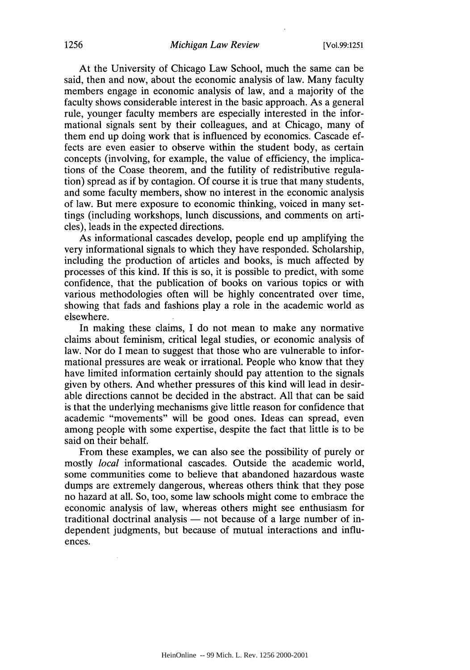At the University of Chicago Law School, much the same can be said, then and now, about the economic analysis of law. Many faculty members engage in economic analysis of law, and a majority of the faculty shows considerable interest in the basic approach. As a general rule, younger faculty members are especially interested in the informational signals sent by their colleagues, and at Chicago, many of them end up doing work that is influenced by economics. Cascade effects are even easier to observe within the student body, as certain concepts (involving, for example, the value of efficiency, the implications of the Coase theorem, and the futility of redistributive regulation) spread as if by contagion. Of course it is true that many students, and some faculty members, show no interest in the economic analysis of law. But mere exposure to economic thinking, voiced in many settings (including workshops, lunch discussions, and comments on articles), leads in the expected directions.

As informational cascades develop, people end up amplifying the very informational signals to which they have responded. Scholarship, including the production of articles and books, is much affected by processes of this kind. If this is so, it is possible to predict, with some confidence, that the publication of books on various topics or with various methodologies often will be highly concentrated over time, showing that fads and fashions play a role in the academic world as elsewhere.

In making these claims, I do not mean to make any normative claims about feminism, critical legal studies, or economic analysis of law. Nor do I mean to suggest that those who are vulnerable to informational pressures are weak or irrational. People who know that they have limited information certainly should pay attention to the signals given by others. And whether pressures of this kind will lead in desirable directions cannot be decided in the abstract. All that can be said is that the underlying mechanisms give little reason for confidence that academic "movements" will be good ones. Ideas can spread, even among people with some expertise, despite the fact that little is to be said on their behalf.

From these examples, we can also see the possibility of purely or mostly *local* informational cascades. Outside the academic world, some communities come to believe that abandoned hazardous waste dumps are extremely dangerous, whereas others think that they pose no hazard at all. So, too, some law schools might come to embrace the economic analysis of law, whereas others might see enthusiasm for traditional doctrinal analysis  $-$  not because of a large number of independent judgments, but because of mutual interactions and influences.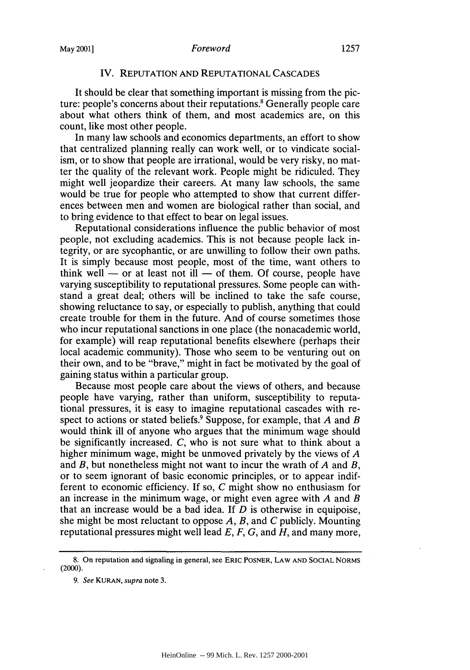#### IV. REPUTATION AND REPUTATIONAL CASCADES

It should be clear that something important is missing from the picture: people's concerns about their reputations.' Generally people care about what others think of them, and most academics are, on this count, like most other people.

In many law schools and economics departments, an effort to show that centralized planning really can work well, or to vindicate socialism, or to show that people are irrational, would be very risky, no matter the quality of the relevant work. People might be ridiculed. They might well jeopardize their careers. At many law schools, the same would be true for people who attempted to show that current differences between men and women are biological rather than social, and to bring evidence to that effect to bear on legal issues.

Reputational considerations influence the public behavior of most people, not excluding academics. This is not because people lack integrity, or are sycophantic, or are unwilling to follow their own paths. It is simply because most people, most of the time, want others to think well — or at least not ill — of them. Of course, people have varying susceptibility to reputational pressures. Some people can withstand a great deal; others will be inclined to take the safe course, showing reluctance to say, or especially to publish, anything that could create trouble for them in the future. And of course sometimes those who incur reputational sanctions in one place (the nonacademic world, for example) will reap reputational benefits elsewhere (perhaps their local academic community). Those who seem to be venturing out on their own, and to be "brave," might in fact be motivated by the goal of gaining status within a particular group.

Because most people care about the views of others, and because people have varying, rather than uniform, susceptibility to reputational pressures, it is easy to imagine reputational cascades with respect to actions or stated beliefs.9 Suppose, for example, that *A* and *B* would think ill of anyone who argues that the minimum wage should be significantly increased. *C,* who is not sure what to think about a higher minimum wage, might be unmoved privately by the views of *A* and *B,* but nonetheless might not want to incur the wrath of *A* and *B,* or to seem ignorant of basic economic principles, or to appear indifferent to economic efficiency. If so, *C* might show no enthusiasm for an increase in the minimum wage, or might even agree with *A* and *B* that an increase would be a bad idea. If *D* is otherwise in equipoise, she might be most reluctant to oppose *A, B,* and *C* publicly. Mounting reputational pressures might well lead *E, F, G,* and *H,* and many more,

**<sup>8.</sup>** On reputation and signaling in general, see ERIC POSNER, LAW **AND SOCIAL** NORMS (2000).

*<sup>9.</sup> See* KURAN, *supra* note 3.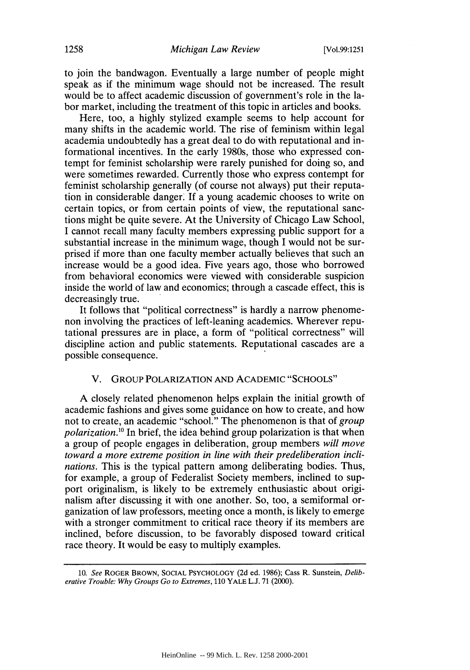to join the bandwagon. Eventually a large number of people might speak as if the minimum wage should not be increased. The result would be to affect academic discussion of government's role in the labor market, including the treatment of this topic in articles and books.

Here, too, a highly stylized example seems to help account for many shifts in the academic world. The rise of feminism within legal academia undoubtedly has a great deal to do with reputational and informational incentives. In the early 1980s, those who expressed contempt for feminist scholarship were rarely punished for doing so, and were sometimes rewarded. Currently those who express contempt for feminist scholarship generally (of course not always) put their reputation in considerable danger: If a young academic chooses to write on certain topics, or from certain points of view, the reputational sanctions might be quite severe. At the University of Chicago Law School, I cannot recall many faculty members expressing public support for a substantial increase in the minimum wage, though I would not be surprised if more than one faculty member actually believes that such an increase would be a good idea. Five years ago, those who borrowed from behavioral economics were viewed with considerable suspicion inside the world of law and economics; through a cascade effect, this is decreasingly true.

It follows that "political correctness" is hardly a narrow phenomenon involving the practices of left-leaning academics. Wherever reputational pressures are in place, a form of "political correctness" will discipline action and public statements. Reputational cascades are a possible consequence.

## V. GROUP POLARIZATION AND ACADEMIC "SCHOOLS"

A closely related phenomenon helps explain the initial growth of academic fashions and gives some guidance on how to create, and how not to create, an academic "school." The phenomenon is that of *group polarization."* In brief, the idea behind group polarization is that when a group of people engages in deliberation, group members *will move toward a more extreme position in line with their predeliberation inclinations.* This is the typical pattern among deliberating bodies. Thus, for example, a group of Federalist Society members, inclined to support originalism, is likely to be extremely enthusiastic about originalism after discussing it with one another. So, too, a semiformal organization of law professors, meeting once a month, is likely to emerge with a stronger commitment to critical race theory if its members are inclined, before discussion, to be favorably disposed toward critical race theory. It would be easy to multiply examples.

<sup>10.</sup> *See* ROGER BROWN, **SOCIAL** PSYCHOLOGY (2d ed. 1986); Cass R. Sunstein, *Deliberative Trouble: Why Groups Go to Extremes,* **110** YALE **L.J.** 71 (2000).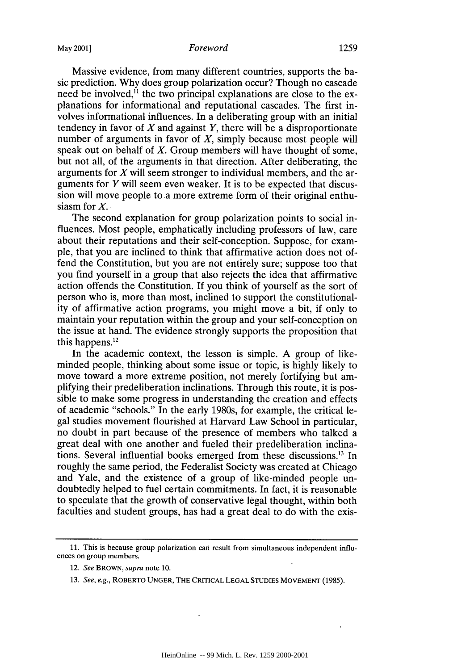#### *Foreword* May 2001] **1259**

Massive evidence, from many different countries, supports the basic prediction. Why does group polarization occur? Though no cascade need be involved, $<sup>11</sup>$  the two principal explanations are close to the ex-</sup> planations for informational and reputational cascades. The first involves informational influences. In a deliberating group with an initial tendency in favor of *X* and against Y, there will be a disproportionate number of arguments in favor of  $X$ , simply because most people will speak out on behalf of *X.* Group members will have thought of some, but not all, of the arguments in that direction. After deliberating, the arguments for *X* will seem stronger to individual members, and the arguments for *Y* will seem even weaker. It is to be expected that discussion will move people to a more extreme form of their original enthusiasm for *X.*

The second explanation for group polarization points to social influences. Most people, emphatically including professors of law, care about their reputations and their self-conception. Suppose, for example, that you are inclined to think that affirmative action does not offend the Constitution, but you are not entirely sure; suppose too that you find yourself in a group that also rejects the idea that affirmative action offends the Constitution. If you think of yourself as the sort of person who is, more than most, inclined to support the constitutionality of affirmative action programs, you might move a bit, if only to maintain your reputation within the group and your self-conception on the issue at hand. The evidence strongly supports the proposition that this happens. $12$ 

In the academic context, the lesson is simple. A group of likeminded people, thinking about some issue or topic, is highly likely to move toward a more extreme position, not merely fortifying but amplifying their predeliberation inclinations. Through this route, it is possible to make some progress in understanding the creation and effects of academic "schools." In the early 1980s, for example, the critical legal studies movement flourished at Harvard Law School in particular, no doubt in part because of the presence of members who talked a great deal with one another and fueled their predeliberation inclinations. Several influential books emerged from these discussions."3 In roughly the same period, the Federalist Society was created at Chicago and Yale, and the existence of a group of like-minded people undoubtedly helped to fuel certain commitments. In fact, it is reasonable to speculate that the growth of conservative legal thought, within both faculties and student groups, has had a great deal to do with the exis-

<sup>11.</sup> This is because group polarization can result from simultaneous independent influences on group members.

<sup>12.</sup> *See* BROWN, *supra* note 10.

<sup>13.</sup> *See, e.g.,* ROBERTO UNGER, THE CRITICAL LEGAL STUDIES MOVEMENT (1985).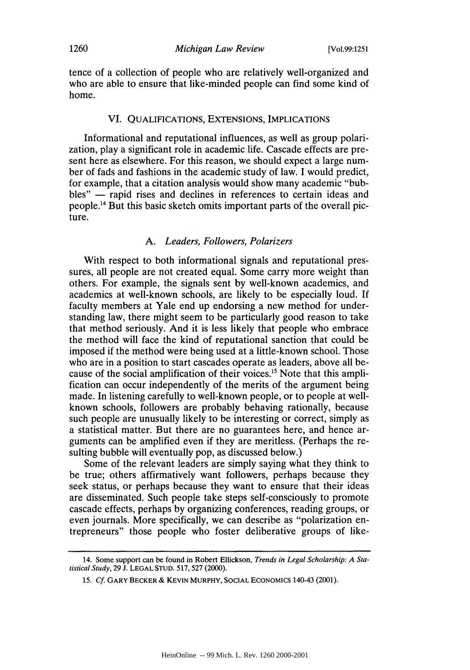tence of a collection of people who are relatively well-organized and who are able to ensure that like-minded people can find some kind of home.

#### VI. QUALIFICATIONS, EXTENSIONS, IMPLICATIONS

Informational and reputational influences, as well as group polarization, play a significant role in academic life. Cascade effects are present here as elsewhere. For this reason, we should expect a large number of fads and fashions in the academic study of law. I would predict, for example, that a citation analysis would show many academic "bubbles" — rapid rises and declines in references to certain ideas and people.14 But this basic sketch omits important parts of the overall picture.

#### *A. Leaders, Followers, Polarizers*

With respect to both informational signals and reputational pressures, all people are not created equal. Some carry more weight than others. For example, the signals sent by well-known academics, and academics at well-known schools, are likely to be especially loud. **If** faculty members at Yale end up endorsing a new method for understanding law, there might seem to be particularly good reason to take that method seriously. And it is less likely that people who embrace the method will face the kind of reputational sanction that could be imposed if the method were being used at a little-known school. Those who are in a position to start cascades operate as leaders, above all because of the social amplification of their voices.15 Note that this amplification can occur independently of the merits of the argument being made. In listening carefully to well-known people, or to people at wellknown schools, followers are probably behaving rationally, because such people are unusually likely to be interesting or correct, simply as a statistical matter. But there are no guarantees here, and hence arguments can be amplified even if they are meritless. (Perhaps the resulting bubble will eventually pop, as discussed below.)

Some of the relevant leaders are simply saying what they think to be true; others affirmatively want followers, perhaps because they seek status, or perhaps because they want to ensure that their ideas are disseminated. Such people take steps self-consciously to promote cascade effects, perhaps by organizing conferences, reading groups, or even journals. More specifically, we can describe as "polarization entrepreneurs" those people who foster deliberative groups of like-

<sup>14.</sup> Some support can be found in Robert Ellickson, *Trends in Legal Scholarship: A Statistical Study,* 29 J. **LEGAL STUD.** 517, 527 (2000).

**<sup>15.</sup>** *Cf.* GARY BECKER **&** KEVIN MURPHY, **SOCIAL** ECONOMICS 140-43 (2001).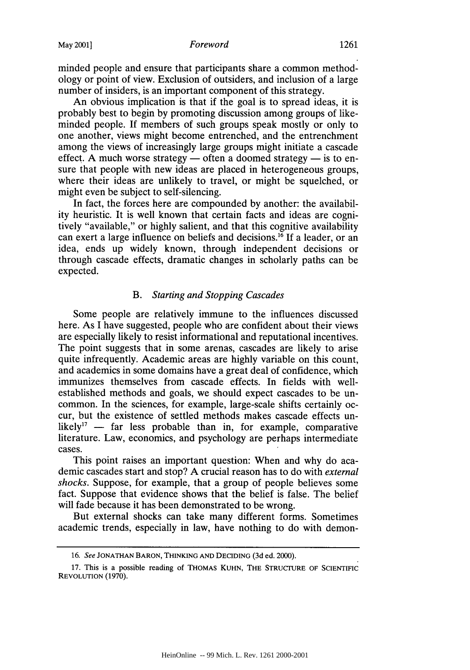#### *Foreword* May 2001] **1261**

minded people and ensure that participants share a common methodology or point of view. Exclusion of outsiders, and inclusion of a large number of insiders, is an important component of this strategy.

An obvious implication is that if the goal is to spread ideas, it is probably best to begin by promoting discussion among groups of likeminded people. If members of such groups speak mostly or only to one another, views might become entrenched, and the entrenchment among the views of increasingly large groups might initiate a cascade effect. A much worse strategy  $-$  often a doomed strategy  $-$  is to ensure that people with new ideas are placed in heterogeneous groups, where their ideas are unlikely to travel, or might be squelched, or might even be subject to self-silencing.

In fact, the forces here are compounded by another: the availability heuristic. It is well known that certain facts and ideas are cognitively "available," or highly salient, and that this cognitive availability can exert a large influence on beliefs and decisions.<sup>16</sup> If a leader, or an idea, ends up widely known, through independent decisions or through cascade effects, dramatic changes in scholarly paths can be expected.

#### *B. Starting and Stopping Cascades*

Some people are relatively immune to the influences discussed here. As I have suggested, people who are confident about their views are especially likely to resist informational and reputational incentives. The point suggests that in some arenas, cascades are likely to arise quite infrequently. Academic areas are highly variable on this count, and academics in some domains have a great deal of confidence, which immunizes themselves from cascade effects. In fields with wellestablished methods and goals, we should expect cascades to be uncommon. In the sciences, for example, large-scale shifts certainly occur, but the existence of settled methods makes cascade effects unlikely<sup>17</sup> - far less probable than in, for example, comparative literature. Law, economics, and psychology are perhaps intermediate cases.

This point raises an important question: When and why do academic cascades start and stop? A crucial reason has to do with *external shocks.* Suppose, for example, that a group of people believes some fact. Suppose that evidence shows that the belief is false. The belief will fade because it has been demonstrated to be wrong.

But external shocks can take many different forms. Sometimes academic trends, especially in law, have nothing to do with demon-

<sup>16.</sup> *See* **JONATHAN** BARON, **THINKING AND DECIDING** (3d ed. 2000).

**<sup>17.</sup>** This is a possible reading of THOMAS **KUHN,** THE STRUCTURE OF SCIENTIFIC **REVOLUTION (1970).**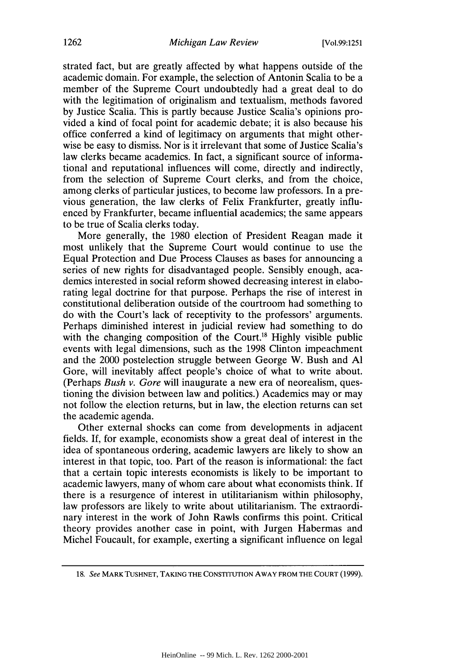strated fact, but are greatly affected by what happens outside of the academic domain. For example, the selection of Antonin Scalia to be a member of the Supreme Court undoubtedly had a great deal to do with the legitimation of originalism **and** textualism, methods favored by Justice Scalia. This is partly because Justice Scalia's opinions provided a kind of focal point for academic debate; it is also because his office conferred a kind of legitimacy on arguments that might otherwise be easy to dismiss. Nor is it irrelevant that some of Justice Scalia's law clerks became academics. In fact, a significant source of informational and reputational influences will come, directly and indirectly, from the selection of Supreme Court clerks, and from the choice, among clerks of particular justices, to become law professors. In a previous generation, the law clerks of Felix Frankfurter, greatly influenced by Frankfurter, became influential academics; the same appears to be true of Scalia clerks today.

More generally, the 1980 election of President Reagan made it most unlikely that the Supreme Court would continue to use the Equal Protection and Due Process Clauses as bases for announcing a series of new rights for disadvantaged people. Sensibly enough, academics interested in social reform showed decreasing interest in elaborating legal doctrine for that purpose. Perhaps the rise of interest in constitutional deliberation outside of the courtroom had something to do with the Court's lack of receptivity to the professors' arguments. Perhaps diminished interest in judicial review had something to do with the changing composition of the Court.<sup>18</sup> Highly visible public events with legal dimensions, such as the 1998 Clinton impeachment and the 2000 postelection struggle between George W. Bush and **Al** Gore, will inevitably affect people's choice of what to write about. (Perhaps *Bush v. Gore* will inaugurate a new era of neorealism, questioning the division between law and politics.) Academics may or may not follow the election returns, but in law, the election returns can set the academic agenda.

Other external shocks can come from developments in adjacent fields. If, for example, economists show a great deal of interest in the idea of spontaneous ordering, academic lawyers are likely to show an interest in that topic, too. Part of the reason is informational: the fact that a certain topic interests economists is likely to be important to academic lawyers, many of whom care about what economists think. If there is a resurgence of interest in utilitarianism within philosophy, law professors are likely to write about utilitarianism. The extraordinary interest in the work of John Rawls confirms this point. Critical theory provides another case in point, with Jurgen Habermas and Michel Foucault, for example, exerting a significant influence on legal

**<sup>18.</sup>** *See* MARK **TUSHNET, TAKING THE CONSTITUTION** AWAY FROM **THE COURT (1999).**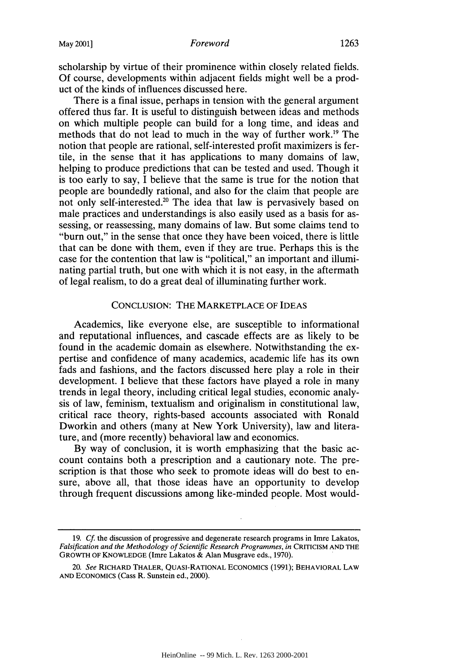scholarship by virtue of their prominence within closely related fields. Of course, developments within adjacent fields might well be a product of the kinds of influences discussed here.

There is a final issue, perhaps in tension with the general argument offered thus far. It is useful to distinguish between ideas and methods on which multiple people can build for a long time, and ideas and methods that do not lead to much in the way of further work.19 The notion that people are rational, self-interested profit maximizers is fertile, in the sense that it has applications to many domains of law, helping to produce predictions that can be tested and used. Though it is too early to say, I believe that the same is true for the notion that people are boundedly rational, and also for the claim that people are not only self-interested.<sup>20</sup> The idea that law is pervasively based on male practices and understandings is also easily used as a basis for assessing, or reassessing, many domains of law. But some claims tend to "burn out," in the sense that once they have been voiced, there is little that can be done with them, even if they are true. Perhaps this is the case for the contention that law is "political," an important and illuminating partial truth, but one with which it is not easy, in the aftermath of legal realism, to do a great deal of illuminating further work.

#### CONCLUSION: THE MARKETPLACE OF IDEAS

Academics, like everyone else, are susceptible to informational and reputational influences, and cascade effects are as likely to be found in the academic domain as elsewhere. Notwithstanding the expertise and confidence of many academics, academic life has its own fads and fashions, and the factors discussed here play a role in their development. I believe that these factors have played a role in many trends in legal theory, including critical legal studies, economic analysis of law, feminism, textualism and originalism in constitutional law, critical race theory, rights-based accounts associated with Ronald Dworkin and others (many at New York University), law and literature, and (more recently) behavioral law and economics.

By way of conclusion, it is worth emphasizing that the basic account contains both a prescription and a cautionary note. The prescription is that those who seek to promote ideas will do best to ensure, above all, that those ideas have an opportunity to develop through frequent discussions among like-minded people. Most would-

<sup>19.</sup> *Cf.* the discussion of progressive and degenerate research programs in Imre Lakatos, *Falsification and the Methodology of Scientific Research Programmes, in* CRITICISM **AND** THE GROWTH OF **KNOWLEDGE** (Imre Lakatos & Alan Musgrave eds., 1970).

<sup>20.</sup> *See* RICHARD THALER, **QUASI-RATIONAL ECONOMICS (1991);** BEHAVIORAL LAW **AND** ECONOMICS (Cass R. Sunstein ed., 2000).